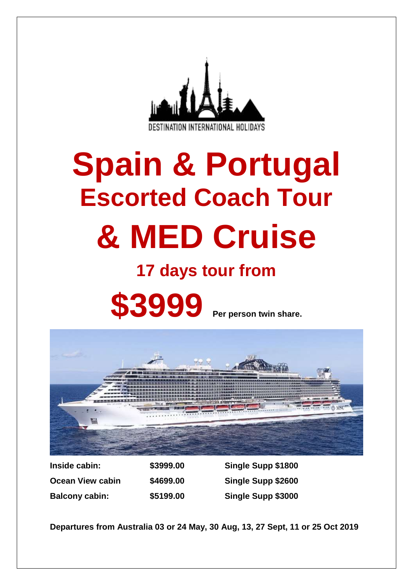

# **Spain & Portugal Escorted Coach Tour & MED Cruise**

# **17 days tour from**

**\$3999 Per person twin share.**



**Ocean View cabin \$4699.00 Single Supp \$2600 Balcony cabin: \$5199.00 Single Supp \$3000**

**Inside cabin: \$3999.00 Single Supp \$1800**

**Departures from Australia 03 or 24 May, 30 Aug, 13, 27 Sept, 11 or 25 Oct 2019**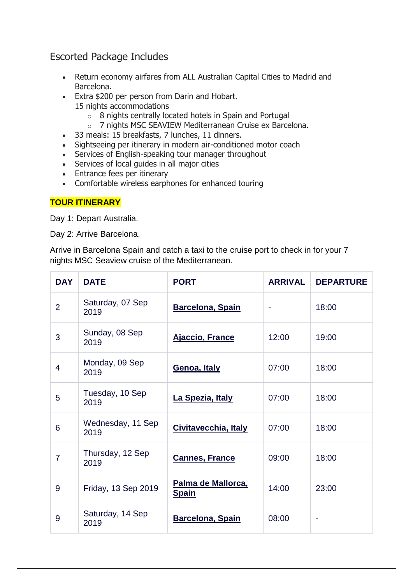# Escorted Package Includes

- Return economy airfares from ALL Australian Capital Cities to Madrid and Barcelona.
- Extra \$200 per person from Darin and Hobart. 15 nights accommodations
	- o 8 nights centrally located hotels in Spain and Portugal
	- o 7 nights MSC SEAVIEW Mediterranean Cruise ex Barcelona.
- 33 meals: 15 breakfasts, 7 lunches, 11 dinners.
- Sightseeing per itinerary in modern air-conditioned motor coach
- Services of English-speaking tour manager throughout
- Services of local guides in all major cities
- Entrance fees per itinerary
- Comfortable wireless earphones for enhanced touring

# **TOUR ITINERARY**

Day 1: Depart Australia.

Day 2: Arrive Barcelona.

Arrive in Barcelona Spain and catch a taxi to the cruise port to check in for your 7 nights MSC Seaview cruise of the Mediterranean.

| <b>DAY</b>     | <b>DATE</b>               | <b>PORT</b>                               | <b>ARRIVAL</b> | <b>DEPARTURE</b> |
|----------------|---------------------------|-------------------------------------------|----------------|------------------|
| $\overline{2}$ | Saturday, 07 Sep<br>2019  | <b>Barcelona, Spain</b>                   |                | 18:00            |
| 3              | Sunday, 08 Sep<br>2019    | <b>Ajaccio, France</b>                    | 12:00          | 19:00            |
| $\overline{4}$ | Monday, 09 Sep<br>2019    | Genoa, Italy                              | 07:00          | 18:00            |
| 5              | Tuesday, 10 Sep<br>2019   | La Spezia, Italy                          | 07:00          | 18:00            |
| 6              | Wednesday, 11 Sep<br>2019 | Civitavecchia, Italy                      | 07:00          | 18:00            |
| $\overline{7}$ | Thursday, 12 Sep<br>2019  | <b>Cannes, France</b>                     | 09:00          | 18:00            |
| 9              | Friday, 13 Sep 2019       | <u>Palma de Mallorca,</u><br><b>Spain</b> | 14:00          | 23:00            |
| 9              | Saturday, 14 Sep<br>2019  | <b>Barcelona, Spain</b>                   | 08:00          |                  |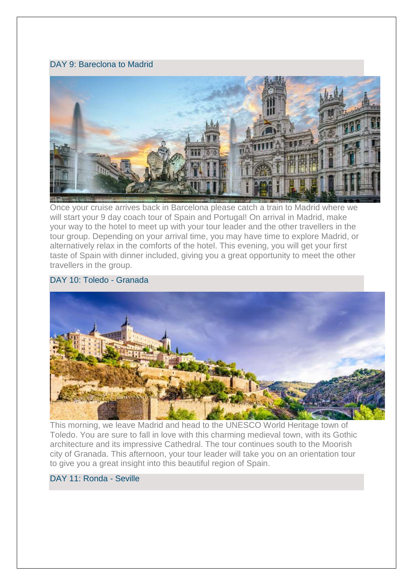# DAY 9: Bareclona to Madrid



Once your cruise arrives back in Barcelona please catch a train to Madrid where we will start your 9 day coach tour of Spain and Portugal! On arrival in Madrid, make your way to the hotel to meet up with your tour leader and the other travellers in the tour group. Depending on your arrival time, you may have time to explore Madrid, or alternatively relax in the comforts of the hotel. This evening, you will get your first taste of Spain with dinner included, giving you a great opportunity to meet the other travellers in the group.

# DAY 10: Toledo - Granada



This morning, we leave Madrid and head to the UNESCO World Heritage town of Toledo. You are sure to fall in love with this charming medieval town, with its Gothic architecture and its impressive Cathedral. The tour continues south to the Moorish city of Granada. This afternoon, your tour leader will take you on an orientation tour to give you a great insight into this beautiful region of Spain.

# DAY 11: Ronda - Seville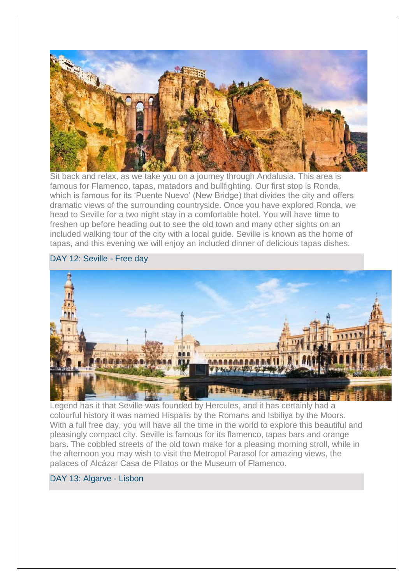

Sit back and relax, as we take you on a journey through Andalusia. This area is famous for Flamenco, tapas, matadors and bullfighting. Our first stop is Ronda, which is famous for its 'Puente Nuevo' (New Bridge) that divides the city and offers dramatic views of the surrounding countryside. Once you have explored Ronda, we head to Seville for a two night stay in a comfortable hotel. You will have time to freshen up before heading out to see the old town and many other sights on an included walking tour of the city with a local guide. Seville is known as the home of tapas, and this evening we will enjoy an included dinner of delicious tapas dishes.

# DAY 12: Seville - Free day



Legend has it that Seville was founded by Hercules, and it has certainly had a colourful history it was named Hispalis by the Romans and Isbiliya by the Moors. With a full free day, you will have all the time in the world to explore this beautiful and pleasingly compact city. Seville is famous for its flamenco, tapas bars and orange bars. The cobbled streets of the old town make for a pleasing morning stroll, while in the afternoon you may wish to visit the Metropol Parasol for amazing views, the palaces of Alcázar Casa de Pilatos or the Museum of Flamenco.

# DAY 13: Algarve - Lisbon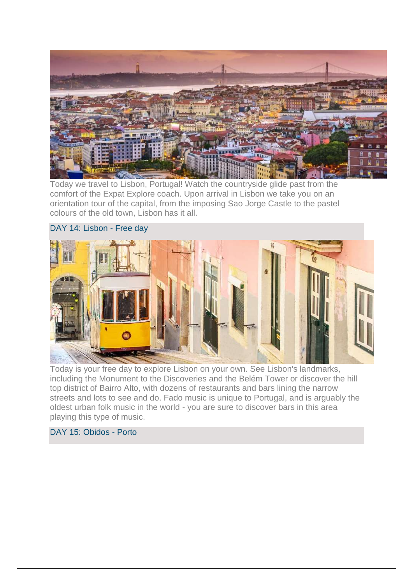

Today we travel to Lisbon, Portugal! Watch the countryside glide past from the comfort of the Expat Explore coach. Upon arrival in Lisbon we take you on an orientation tour of the capital, from the imposing Sao Jorge Castle to the pastel colours of the old town, Lisbon has it all.





Today is your free day to explore Lisbon on your own. See Lisbon's landmarks, including the Monument to the Discoveries and the Belém Tower or discover the hill top district of Bairro Alto, with dozens of restaurants and bars lining the narrow streets and lots to see and do. Fado music is unique to Portugal, and is arguably the oldest urban folk music in the world - you are sure to discover bars in this area playing this type of music.

# DAY 15: Obidos - Porto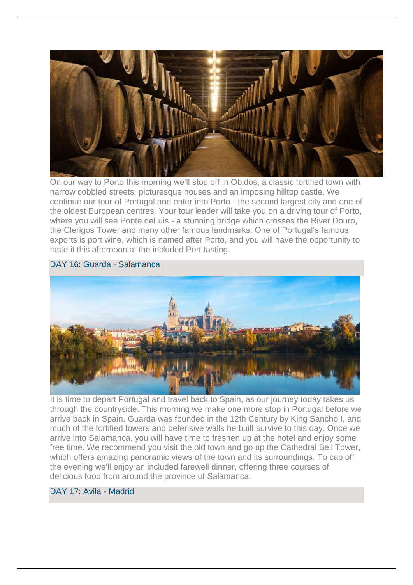

On our way to Porto this morning we'll stop off in Obidos, a classic fortified town with narrow cobbled streets, picturesque houses and an imposing hilltop castle. We continue our tour of Portugal and enter into Porto - the second largest city and one of the oldest European centres. Your tour leader will take you on a driving tour of Porto, where you will see Ponte deLuis - a stunning bridge which crosses the River Douro, the Clerigos Tower and many other famous landmarks. One of Portugal's famous exports is port wine, which is named after Porto, and you will have the opportunity to taste it this afternoon at the included Port tasting.

# DAY 16: Guarda - Salamanca



It is time to depart Portugal and travel back to Spain, as our journey today takes us through the countryside. This morning we make one more stop in Portugal before we arrive back in Spain. Guarda was founded in the 12th Century by King Sancho I, and much of the fortified towers and defensive walls he built survive to this day. Once we arrive into Salamanca, you will have time to freshen up at the hotel and enjoy some free time. We recommend you visit the old town and go up the Cathedral Bell Tower, which offers amazing panoramic views of the town and its surroundings. To cap off the evening we'll enjoy an included farewell dinner, offering three courses of delicious food from around the province of Salamanca.

# DAY 17: Avila - Madrid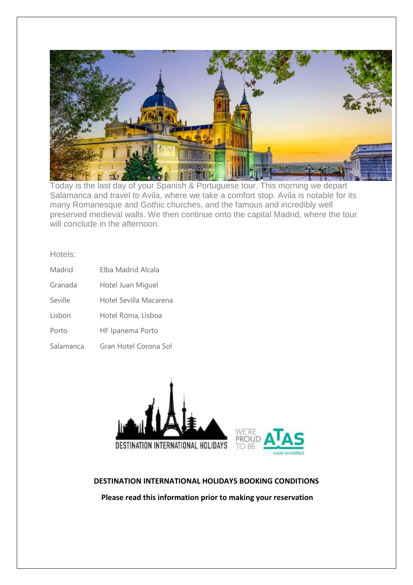

Today is the last day of your Spanish & Portuguese tour. This morning we depart Salamanca and travel to Avila, where we take a comfort stop. Avila is notable for its many Romanesque and Gothic churches, and the famous and incredibly well preserved medieval walls. We then continue onto the capital Madrid, where the tour will conclude in the afternoon.

Hotels:

| Madrid    | Elba Madrid Alcala     |
|-----------|------------------------|
| Granada   | Hotel Juan Miguel      |
| Seville   | Hotel Sevilla Macarena |
| Lisbon    | Hotel Roma, Lisboa     |
| Porto     | HF Ipanema Porto       |
| Salamanca | Gran Hotel Corona Sol  |



# **DESTINATION INTERNATIONAL HOLIDAYS BOOKING CONDITIONS**

**Please read this information prior to making your reservation**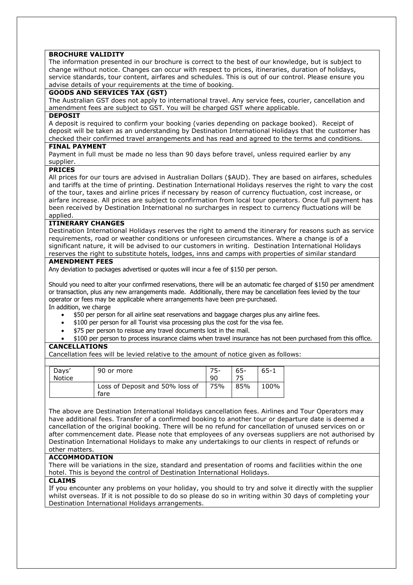#### **BROCHURE VALIDITY**

The information presented in our brochure is correct to the best of our knowledge, but is subject to change without notice. Changes can occur with respect to prices, itineraries, duration of holidays, service standards, tour content, airfares and schedules. This is out of our control. Please ensure you advise details of your requirements at the time of booking.

#### **GOODS AND SERVICES TAX (GST)**

The Australian GST does not apply to international travel. Any service fees, courier, cancellation and amendment fees are subject to GST. You will be charged GST where applicable.

#### **DEPOSIT**

A deposit is required to confirm your booking (varies depending on package booked). Receipt of deposit will be taken as an understanding by Destination International Holidays that the customer has checked their confirmed travel arrangements and has read and agreed to the terms and conditions.

#### **FINAL PAYMENT**

Payment in full must be made no less than 90 days before travel, unless required earlier by any supplier.

#### **PRICES**

All prices for our tours are advised in Australian Dollars (\$AUD). They are based on airfares, schedules and tariffs at the time of printing. Destination International Holidays reserves the right to vary the cost of the tour, taxes and airline prices if necessary by reason of currency fluctuation, cost increase, or airfare increase. All prices are subject to confirmation from local tour operators. Once full payment has been received by Destination International no surcharges in respect to currency fluctuations will be applied.

#### **ITINERARY CHANGES**

Destination International Holidays reserves the right to amend the itinerary for reasons such as service requirements, road or weather conditions or unforeseen circumstances. Where a change is of a significant nature, it will be advised to our customers in writing. Destination International Holidays reserves the right to substitute hotels, lodges, inns and camps with properties of similar standard

#### **AMENDMENT FEES**

Any deviation to packages advertised or quotes will incur a fee of \$150 per person.

Should you need to alter your confirmed reservations, there will be an automatic fee charged of \$150 per amendment or transaction, plus any new arrangements made. Additionally, there may be cancellation fees levied by the tour operator or fees may be applicable where arrangements have been pre-purchased. In addition, we charge

- \$50 per person for all airline seat reservations and baggage charges plus any airline fees.
- \$100 per person for all Tourist visa processing plus the cost for the visa fee.
- \$75 per person to reissue any travel documents lost in the mail.
- \$100 per person to process insurance claims when travel insurance has not been purchased from this office.

#### **CANCELLATIONS**

Cancellation fees will be levied relative to the amount of notice given as follows:

| Davs'<br><b>Notice</b> | 90 or more                              | 75-<br>90 | 65- | $65-1$ |
|------------------------|-----------------------------------------|-----------|-----|--------|
|                        | Loss of Deposit and 50% loss of<br>fare | 75%       | 85% | 100%   |

The above are Destination International Holidays cancellation fees. Airlines and Tour Operators may have additional fees. Transfer of a confirmed booking to another tour or departure date is deemed a cancellation of the original booking. There will be no refund for cancellation of unused services on or after commencement date. Please note that employees of any overseas suppliers are not authorised by Destination International Holidays to make any undertakings to our clients in respect of refunds or other matters.

#### **ACCOMMODATION**

There will be variations in the size, standard and presentation of rooms and facilities within the one hotel. This is beyond the control of Destination International Holidays.

#### **CLAIMS**

If you encounter any problems on your holiday, you should to try and solve it directly with the supplier whilst overseas. If it is not possible to do so please do so in writing within 30 days of completing your Destination International Holidays arrangements.